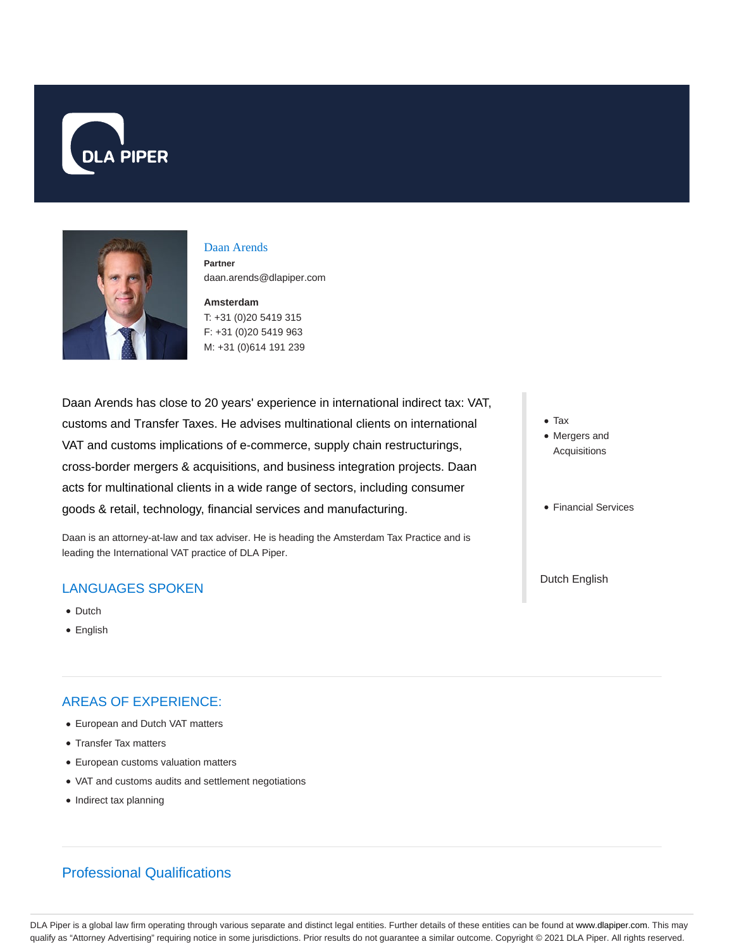



### Daan Arends **Partner**

daan.arends@dlapiper.com

### **Amsterdam** T: +31 (0)20 5419 315

F: +31 (0)20 5419 963 M: +31 (0)614 191 239

Daan Arends has close to 20 years' experience in international indirect tax: VAT, customs and Transfer Taxes. He advises multinational clients on international VAT and customs implications of e-commerce, supply chain restructurings, cross-border mergers & acquisitions, and business integration projects. Daan acts for multinational clients in a wide range of sectors, including consumer goods & retail, technology, financial services and manufacturing.

Daan is an attorney-at-law and tax adviser. He is heading the Amsterdam Tax Practice and is leading the International VAT practice of DLA Piper.

# LANGUAGES SPOKEN

- Dutch
- English

# AREAS OF EXPERIENCE:

- European and Dutch VAT matters
- Transfer Tax matters
- European customs valuation matters
- VAT and customs audits and settlement negotiations
- Indirect tax planning
	-

Professional Qualifications

- Tax
- Mergers and Acquisitions
- Financial Services

Dutch English

DLA Piper is a global law firm operating through various separate and distinct legal entities. Further details of these entities can be found at www.dlapiper.com. This may qualify as "Attorney Advertising" requiring notice in some jurisdictions. Prior results do not guarantee a similar outcome. Copyright © 2021 DLA Piper. All rights reserved.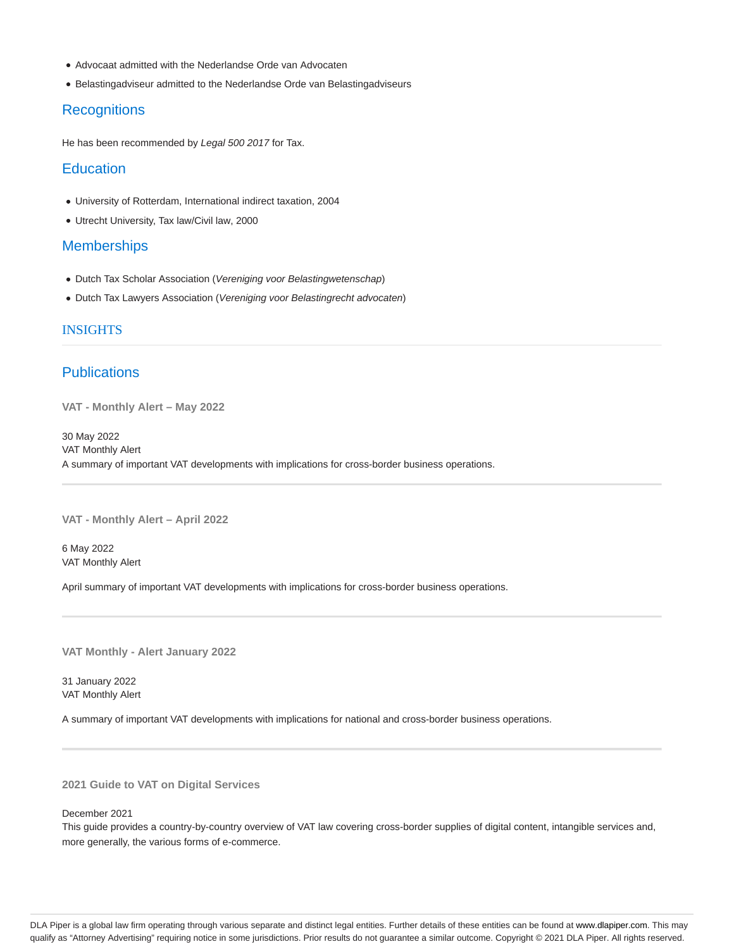- Advocaat admitted with the Nederlandse Orde van Advocaten
- Belastingadviseur admitted to the Nederlandse Orde van Belastingadviseurs

### **Recognitions**

He has been recommended by Legal 500 2017 for Tax.

#### **Education**

- University of Rotterdam, International indirect taxation, 2004
- Utrecht University, Tax law/Civil law, 2000

#### **Memberships**

- Dutch Tax Scholar Association (Vereniging voor Belastingwetenschap)
- Dutch Tax Lawyers Association (Vereniging voor Belastingrecht advocaten)

#### INSIGHTS

## **Publications**

**VAT - Monthly Alert – May 2022**

30 May 2022 VAT Monthly Alert A summary of important VAT developments with implications for cross-border business operations.

**VAT - Monthly Alert – April 2022**

6 May 2022 VAT Monthly Alert

April summary of important VAT developments with implications for cross-border business operations.

**VAT Monthly - Alert January 2022**

31 January 2022 VAT Monthly Alert

A summary of important VAT developments with implications for national and cross-border business operations.

**2021 Guide to VAT on Digital Services**

December 2021

This guide provides a country-by-country overview of VAT law covering cross-border supplies of digital content, intangible services and, more generally, the various forms of e-commerce.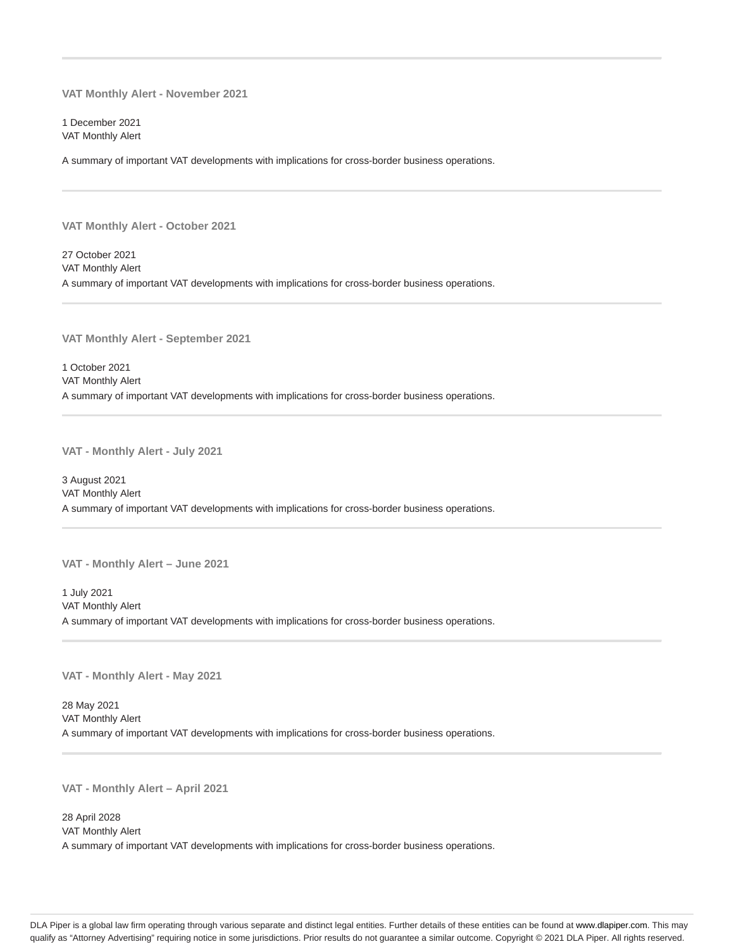**VAT Monthly Alert - November 2021**

1 December 2021 VAT Monthly Alert

A summary of important VAT developments with implications for cross-border business operations.

**VAT Monthly Alert - October 2021**

27 October 2021 VAT Monthly Alert A summary of important VAT developments with implications for cross-border business operations.

**VAT Monthly Alert - September 2021**

1 October 2021 VAT Monthly Alert A summary of important VAT developments with implications for cross-border business operations.

**VAT - Monthly Alert - July 2021**

3 August 2021 VAT Monthly Alert A summary of important VAT developments with implications for cross-border business operations.

**VAT - Monthly Alert – June 2021**

1 July 2021 VAT Monthly Alert A summary of important VAT developments with implications for cross-border business operations.

**VAT - Monthly Alert - May 2021**

28 May 2021 VAT Monthly Alert A summary of important VAT developments with implications for cross-border business operations.

**VAT - Monthly Alert – April 2021**

28 April 2028 VAT Monthly Alert A summary of important VAT developments with implications for cross-border business operations.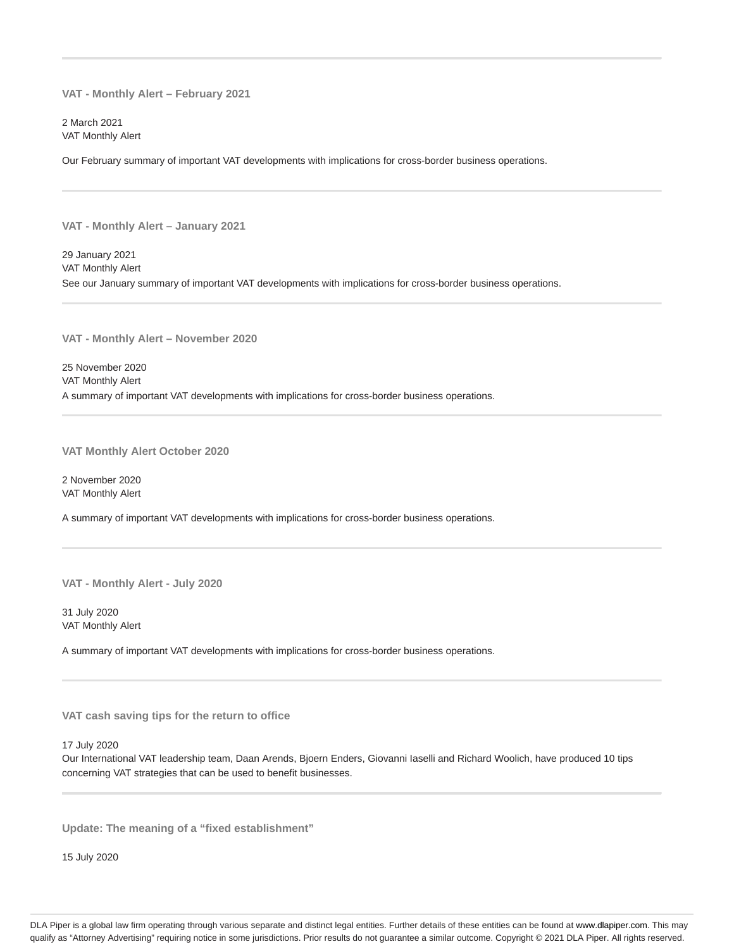**VAT - Monthly Alert – February 2021**

2 March 2021 VAT Monthly Alert

Our February summary of important VAT developments with implications for cross-border business operations.

**VAT - Monthly Alert – January 2021**

29 January 2021 VAT Monthly Alert See our January summary of important VAT developments with implications for cross-border business operations.

**VAT - Monthly Alert – November 2020**

25 November 2020 VAT Monthly Alert A summary of important VAT developments with implications for cross-border business operations.

**VAT Monthly Alert October 2020**

2 November 2020 VAT Monthly Alert

A summary of important VAT developments with implications for cross-border business operations.

**VAT - Monthly Alert - July 2020**

31 July 2020 VAT Monthly Alert

A summary of important VAT developments with implications for cross-border business operations.

**VAT cash saving tips for the return to office**

17 July 2020

Our International VAT leadership team, Daan Arends, Bjoern Enders, Giovanni Iaselli and Richard Woolich, have produced 10 tips concerning VAT strategies that can be used to benefit businesses.

**Update: The meaning of a "fixed establishment"**

15 July 2020

DLA Piper is a global law firm operating through various separate and distinct legal entities. Further details of these entities can be found at www.dlapiper.com. This may qualify as "Attorney Advertising" requiring notice in some jurisdictions. Prior results do not guarantee a similar outcome. Copyright @ 2021 DLA Piper. All rights reserved.